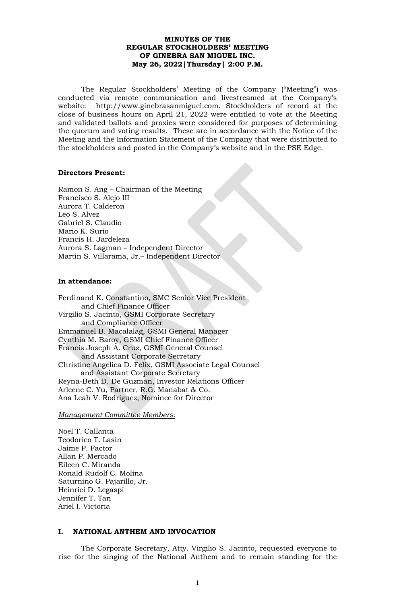### **MINUTES OF THE REGULAR STOCKHOLDERS' MEETING OF GINEBRA SAN MIGUEL INC. May 26, 2022|Thursday| 2:00 P.M.**

The Regular Stockholders' Meeting of the Company ("Meeting") was conducted via remote communication and livestreamed at the Company's website: http://www.ginebrasanmiguel.com. Stockholders of record at the close of business hours on April 21, 2022 were entitled to vote at the Meeting and validated ballots and proxies were considered for purposes of determining the quorum and voting results. These are in accordance with the Notice of the Meeting and the Information Statement of the Company that were distributed to the stockholders and posted in the Company's website and in the PSE Edge.

#### **Directors Present:**

Ramon S. Ang – Chairman of the Meeting Francisco S. Alejo III Aurora T. Calderon Leo S. Alvez Gabriel S. Claudio Mario K. Surio Francis H. Jardeleza Aurora S. Lagman – Independent Director Martin S. Villarama, Jr.– Independent Director

### **In attendance:**

Ferdinand K. Constantino, SMC Senior Vice President and Chief Finance Officer Virgilio S. Jacinto, GSMI Corporate Secretary and Compliance Officer Emmanuel B. Macalalag, GSMI General Manager Cynthia M. Baroy, GSMI Chief Finance Officer Francis Joseph A. Cruz, GSMI General Counsel and Assistant Corporate Secretary Christine Angelica D. Felix, GSMI Associate Legal Counsel and Assistant Corporate Secretary Reyna-Beth D. De Guzman, Investor Relations Officer Arleene C. Yu, Partner, R.G. Manabat & Co. Ana Leah V. Rodriguez, Nominee for Director

*Management Committee Members:*

Noel T. Callanta Teodorico T. Lasin Jaime P. Factor Allan P. Mercado Eileen C. Miranda Ronald Rudolf C. Molina Saturnino G. Pajarillo, Jr. Heinrici D. Legaspi Jennifer T. Tan Ariel I. Victoria

### **I. NATIONAL ANTHEM AND INVOCATION**

The Corporate Secretary, Atty. Virgilio S. Jacinto, requested everyone to rise for the singing of the National Anthem and to remain standing for the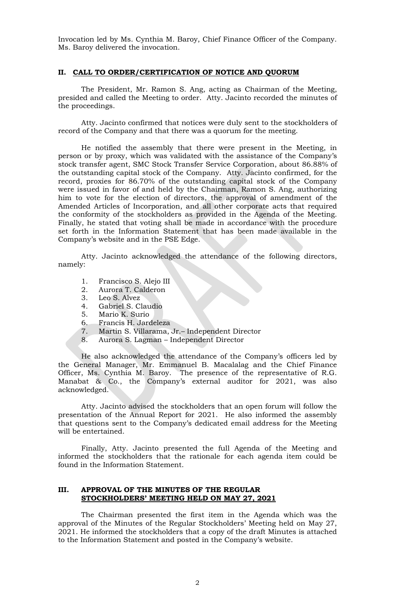Invocation led by Ms. Cynthia M. Baroy, Chief Finance Officer of the Company. Ms. Baroy delivered the invocation.

#### **II. CALL TO ORDER/CERTIFICATION OF NOTICE AND QUORUM**

The President, Mr. Ramon S. Ang, acting as Chairman of the Meeting, presided and called the Meeting to order. Atty. Jacinto recorded the minutes of the proceedings.

Atty. Jacinto confirmed that notices were duly sent to the stockholders of record of the Company and that there was a quorum for the meeting.

He notified the assembly that there were present in the Meeting, in person or by proxy, which was validated with the assistance of the Company's stock transfer agent, SMC Stock Transfer Service Corporation, about 86.88% of the outstanding capital stock of the Company. Atty. Jacinto confirmed, for the record, proxies for 86.70% of the outstanding capital stock of the Company were issued in favor of and held by the Chairman, Ramon S. Ang, authorizing him to vote for the election of directors, the approval of amendment of the Amended Articles of Incorporation, and all other corporate acts that required the conformity of the stockholders as provided in the Agenda of the Meeting. Finally, he stated that voting shall be made in accordance with the procedure set forth in the Information Statement that has been made available in the Company's website and in the PSE Edge.

Atty. Jacinto acknowledged the attendance of the following directors, namely:

- 1. Francisco S. Alejo III
- 2. Aurora T. Calderon
- 3. Leo S. Alvez
- 4. Gabriel S. Claudio
- 5. Mario K. Surio
- 
- 6. Francis H. Jardeleza<br>7. Martin S. Villarama, 7. Martin S. Villarama, Jr.– Independent Director
- 8. Aurora S. Lagman Independent Director

He also acknowledged the attendance of the Company's officers led by the General Manager, Mr. Emmanuel B. Macalalag and the Chief Finance Officer, Ms. Cynthia M. Baroy. The presence of the representative of R.G. Manabat & Co., the Company's external auditor for 2021, was also acknowledged.

Atty. Jacinto advised the stockholders that an open forum will follow the presentation of the Annual Report for 2021. He also informed the assembly that questions sent to the Company's dedicated email address for the Meeting will be entertained.

Finally, Atty. Jacinto presented the full Agenda of the Meeting and informed the stockholders that the rationale for each agenda item could be found in the Information Statement.

### **III. APPROVAL OF THE MINUTES OF THE REGULAR STOCKHOLDERS' MEETING HELD ON MAY 27, 2021**

The Chairman presented the first item in the Agenda which was the approval of the Minutes of the Regular Stockholders' Meeting held on May 27, 2021. He informed the stockholders that a copy of the draft Minutes is attached to the Information Statement and posted in the Company's website.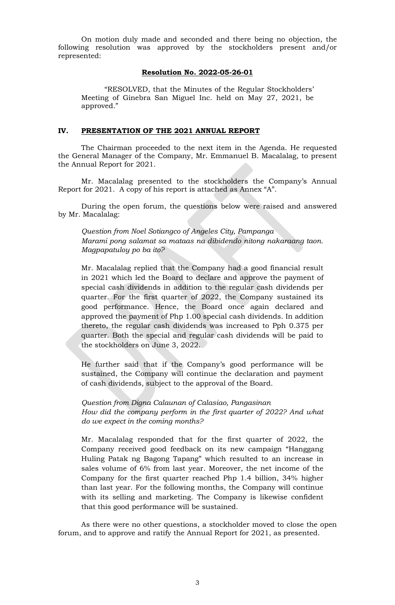On motion duly made and seconded and there being no objection, the following resolution was approved by the stockholders present and/or represented:

#### **Resolution No. 2022-05-26-01**

"RESOLVED, that the Minutes of the Regular Stockholders' Meeting of Ginebra San Miguel Inc. held on May 27, 2021, be approved."

#### **IV. PRESENTATION OF THE 2021 ANNUAL REPORT**

The Chairman proceeded to the next item in the Agenda. He requested the General Manager of the Company, Mr. Emmanuel B. Macalalag, to present the Annual Report for 2021.

Mr. Macalalag presented to the stockholders the Company's Annual Report for 2021. A copy of his report is attached as Annex "A".

During the open forum, the questions below were raised and answered by Mr. Macalalag:

*Question from Noel Sotiangco of Angeles City, Pampanga Marami pong salamat sa mataas na dibidendo nitong nakaraang taon. Magpapatuloy po ba ito?* 

Mr. Macalalag replied that the Company had a good financial result in 2021 which led the Board to declare and approve the payment of special cash dividends in addition to the regular cash dividends per quarter. For the first quarter of 2022, the Company sustained its good performance. Hence, the Board once again declared and approved the payment of Php 1.00 special cash dividends. In addition thereto, the regular cash dividends was increased to Pph 0.375 per quarter. Both the special and regular cash dividends will be paid to the stockholders on June 3, 2022.

He further said that if the Company's good performance will be sustained, the Company will continue the declaration and payment of cash dividends, subject to the approval of the Board.

*Question from Digna Calaunan of Calasiao, Pangasinan How did the company perform in the first quarter of 2022? And what do we expect in the coming months?* 

Mr. Macalalag responded that for the first quarter of 2022, the Company received good feedback on its new campaign "Hanggang Huling Patak ng Bagong Tapang" which resulted to an increase in sales volume of 6% from last year. Moreover, the net income of the Company for the first quarter reached Php 1.4 billion, 34% higher than last year. For the following months, the Company will continue with its selling and marketing. The Company is likewise confident that this good performance will be sustained.

As there were no other questions, a stockholder moved to close the open forum, and to approve and ratify the Annual Report for 2021, as presented.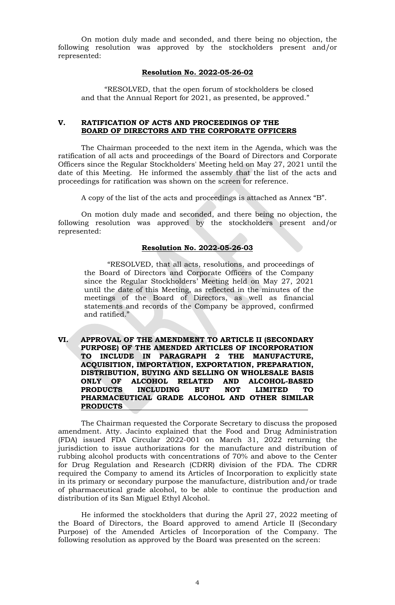On motion duly made and seconded, and there being no objection, the following resolution was approved by the stockholders present and/or represented:

#### **Resolution No. 2022-05-26-02**

"RESOLVED, that the open forum of stockholders be closed and that the Annual Report for 2021, as presented, be approved."

### **V. RATIFICATION OF ACTS AND PROCEEDINGS OF THE BOARD OF DIRECTORS AND THE CORPORATE OFFICERS**

The Chairman proceeded to the next item in the Agenda, which was the ratification of all acts and proceedings of the Board of Directors and Corporate Officers since the Regular Stockholders' Meeting held on May 27, 2021 until the date of this Meeting. He informed the assembly that the list of the acts and proceedings for ratification was shown on the screen for reference.

A copy of the list of the acts and proceedings is attached as Annex "B".

On motion duly made and seconded, and there being no objection, the following resolution was approved by the stockholders present and/or represented:

#### **Resolution No. 2022-05-26-03**

"RESOLVED, that all acts, resolutions, and proceedings of the Board of Directors and Corporate Officers of the Company since the Regular Stockholders' Meeting held on May 27, 2021 until the date of this Meeting, as reflected in the minutes of the meetings of the Board of Directors, as well as financial statements and records of the Company be approved, confirmed and ratified."

**VI. APPROVAL OF THE AMENDMENT TO ARTICLE II (SECONDARY PURPOSE) OF THE AMENDED ARTICLES OF INCORPORATION TO INCLUDE IN PARAGRAPH 2 THE MANUFACTURE, ACQUISITION, IMPORTATION, EXPORTATION, PREPARATION, DISTRIBUTION, BUYING AND SELLING ON WHOLESALE BASIS ONLY OF ALCOHOL RELATED AND ALCOHOL-BASED PRODUCTS INCLUDING BUT NOT LIMITED TO PHARMACEUTICAL GRADE ALCOHOL AND OTHER SIMILAR PRODUCTS** 

The Chairman requested the Corporate Secretary to discuss the proposed amendment. Atty. Jacinto explained that the Food and Drug Administration (FDA) issued FDA Circular 2022-001 on March 31, 2022 returning the jurisdiction to issue authorizations for the manufacture and distribution of rubbing alcohol products with concentrations of 70% and above to the Center for Drug Regulation and Research (CDRR) division of the FDA. The CDRR required the Company to amend its Articles of Incorporation to explicitly state in its primary or secondary purpose the manufacture, distribution and/or trade of pharmaceutical grade alcohol, to be able to continue the production and distribution of its San Miguel Ethyl Alcohol.

He informed the stockholders that during the April 27, 2022 meeting of the Board of Directors, the Board approved to amend Article II (Secondary Purpose) of the Amended Articles of Incorporation of the Company. The following resolution as approved by the Board was presented on the screen: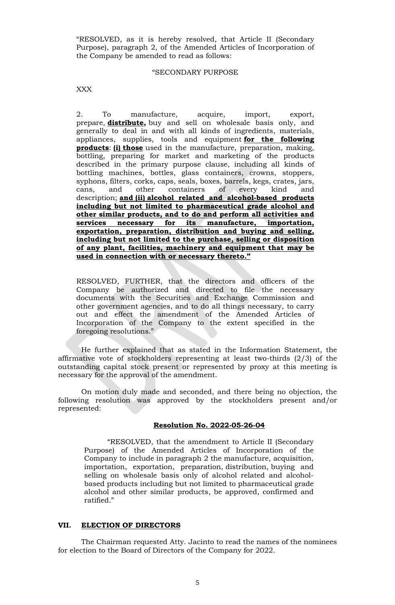"RESOLVED, as it is hereby resolved, that Article II (Secondary Purpose), paragraph 2, of the Amended Articles of Incorporation of the Company be amended to read as follows:

#### "SECONDARY PURPOSE

XXX

2. To manufacture, acquire, import, export, prepare, **distribute,** buy and sell on wholesale basis only, and generally to deal in and with all kinds of ingredients, materials, appliances, supplies, tools and equipment **for the following products**: **(i) those** used in the manufacture, preparation, making, bottling, preparing for market and marketing of the products described in the primary purpose clause, including all kinds of bottling machines, bottles, glass containers, crowns, stoppers, syphons, filters, corks, caps, seals, boxes, barrels, kegs, crates, jars, cans, and other containers of every kind and cans, and other containers of every kind and description; **and (ii) alcohol related and alcohol-based products including but not limited to pharmaceutical grade alcohol and other similar products, and to do and perform all activities and services necessary for its manufacture, importation, exportation, preparation, distribution and buying and selling, including but not limited to the purchase, selling or disposition of any plant, facilities, machinery and equipment that may be used in connection with or necessary thereto."**

RESOLVED, FURTHER, that the directors and officers of the Company be authorized and directed to file the necessary documents with the Securities and Exchange Commission and other government agencies, and to do all things necessary, to carry out and effect the amendment of the Amended Articles of Incorporation of the Company to the extent specified in the foregoing resolutions."

He further explained that as stated in the Information Statement, the affirmative vote of stockholders representing at least two-thirds (2/3) of the outstanding capital stock present or represented by proxy at this meeting is necessary for the approval of the amendment.

On motion duly made and seconded, and there being no objection, the following resolution was approved by the stockholders present and/or represented:

#### **Resolution No. 2022-05-26-04**

"RESOLVED, that the amendment to Article II (Secondary Purpose) of the Amended Articles of Incorporation of the Company to include in paragraph 2 the manufacture, acquisition, importation, exportation, preparation, distribution, buying and selling on wholesale basis only of alcohol related and alcoholbased products including but not limited to pharmaceutical grade alcohol and other similar products, be approved, confirmed and ratified."

#### **VII. ELECTION OF DIRECTORS**

The Chairman requested Atty. Jacinto to read the names of the nominees for election to the Board of Directors of the Company for 2022.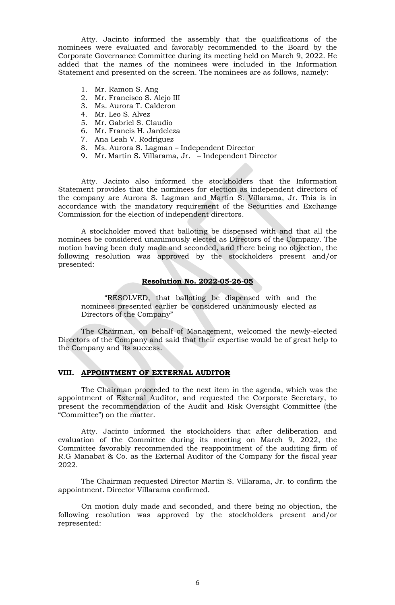Atty. Jacinto informed the assembly that the qualifications of the nominees were evaluated and favorably recommended to the Board by the Corporate Governance Committee during its meeting held on March 9, 2022. He added that the names of the nominees were included in the Information Statement and presented on the screen. The nominees are as follows, namely:

- 1. Mr. Ramon S. Ang
- 2. Mr. Francisco S. Alejo III
- 3. Ms. Aurora T. Calderon
- 4. Mr. Leo S. Alvez
- 5. Mr. Gabriel S. Claudio
- 6. Mr. Francis H. Jardeleza
- 7. Ana Leah V. Rodriguez
- 8. Ms. Aurora S. Lagman Independent Director
- 9. Mr. Martin S. Villarama, Jr. Independent Director

Atty. Jacinto also informed the stockholders that the Information Statement provides that the nominees for election as independent directors of the company are Aurora S. Lagman and Martin S. Villarama, Jr. This is in accordance with the mandatory requirement of the Securities and Exchange Commission for the election of independent directors.

A stockholder moved that balloting be dispensed with and that all the nominees be considered unanimously elected as Directors of the Company. The motion having been duly made and seconded, and there being no objection, the following resolution was approved by the stockholders present and/or presented:

# **Resolution No. 2022-05-26-05**

"RESOLVED, that balloting be dispensed with and the nominees presented earlier be considered unanimously elected as Directors of the Company"

The Chairman, on behalf of Management, welcomed the newly-elected Directors of the Company and said that their expertise would be of great help to the Company and its success.

### **VIII. APPOINTMENT OF EXTERNAL AUDITOR**

The Chairman proceeded to the next item in the agenda, which was the appointment of External Auditor, and requested the Corporate Secretary, to present the recommendation of the Audit and Risk Oversight Committee (the "Committee") on the matter.

Atty. Jacinto informed the stockholders that after deliberation and evaluation of the Committee during its meeting on March 9, 2022, the Committee favorably recommended the reappointment of the auditing firm of R.G Manabat & Co. as the External Auditor of the Company for the fiscal year 2022.

The Chairman requested Director Martin S. Villarama, Jr. to confirm the appointment. Director Villarama confirmed.

On motion duly made and seconded, and there being no objection, the following resolution was approved by the stockholders present and/or represented: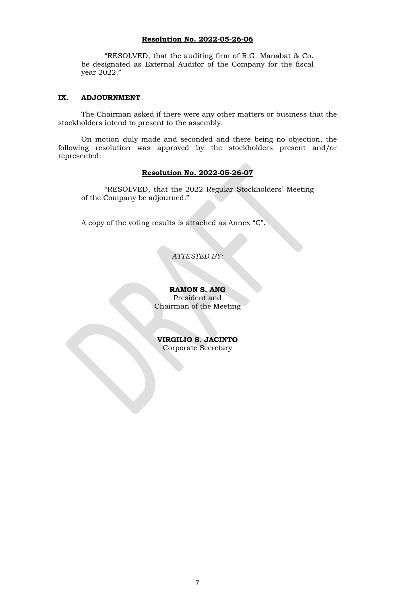### **Resolution No. 2022-05-26-06**

"RESOLVED, that the auditing firm of R.G. Manabat & Co. be designated as External Auditor of the Company for the fiscal year 2022."

### **IX. ADJOURNMENT**

The Chairman asked if there were any other matters or business that the stockholders intend to present to the assembly.

On motion duly made and seconded and there being no objection, the following resolution was approved by the stockholders present and/or represented:

### **Resolution No. 2022-05-26-07**

"RESOLVED, that the 2022 Regular Stockholders' Meeting of the Company be adjourned."

A copy of the voting results is attached as Annex "C".

*ATTESTED BY:*

**RAMON S. ANG** President and Chairman of the Meeting

**VIRGILIO S. JACINTO** Corporate Secretary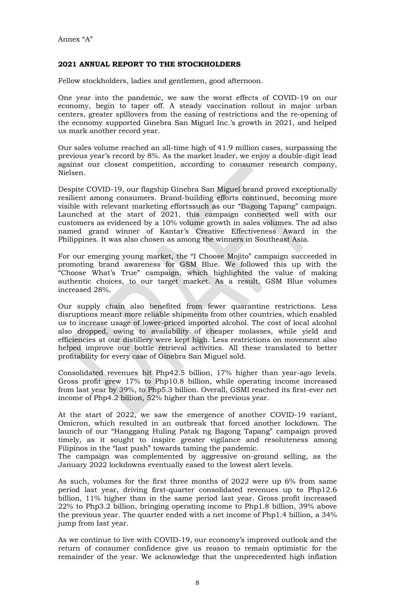## **2021 ANNUAL REPORT TO THE STOCKHOLDERS**

Fellow stockholders, ladies and gentlemen, good afternoon.

One year into the pandemic, we saw the worst effects of COVID-19 on our economy, begin to taper off. A steady vaccination rollout in major urban centers, greater spillovers from the easing of restrictions and the re-opening of the economy supported Ginebra San Miguel Inc.'s growth in 2021, and helped us mark another record year.

Our sales volume reached an all-time high of 41.9 million cases, surpassing the previous year's record by 8%. As the market leader, we enjoy a double-digit lead against our closest competition, according to consumer research company, Nielsen.

Despite COVID-19, our flagship Ginebra San Miguel brand proved exceptionally resilient among consumers. Brand-building efforts continued, becoming more visible with relevant marketing effortssuch as our "Bagong Tapang" campaign. Launched at the start of 2021, this campaign connected well with our customers as evidenced by a 10% volume growth in sales volumes. The ad also named grand winner of Kantar's Creative Effectiveness Award in the Philippines. It was also chosen as among the winners in Southeast Asia.

For our emerging young market, the "I Choose Mojito" campaign succeeded in promoting brand awareness for GSM Blue. We followed this up with the "Choose What's True" campaign, which highlighted the value of making authentic choices, to our target market. As a result, GSM Blue volumes increased 28%.

Our supply chain also benefited from fewer quarantine restrictions. Less disruptions meant more reliable shipments from other countries, which enabled us to increase usage of lower-priced imported alcohol. The cost of local alcohol also dropped, owing to availability of cheaper molasses, while yield and efficiencies at our distillery were kept high. Less restrictions on movement also helped improve our bottle retrieval activities. All these translated to better profitability for every case of Ginebra San Miguel sold.

Consolidated revenues hit Php42.5 billion, 17% higher than year-ago levels. Gross profit grew 17% to Php10.8 billion, while operating income increased from last year by 39%, to Php5.3 billion. Overall, GSMI reached its first-ever net income of Php4.2 billion, 52% higher than the previous year.

At the start of 2022, we saw the emergence of another COVID-19 variant, Omicron, which resulted in an outbreak that forced another lockdown. The launch of our "Hanggang Huling Patak ng Bagong Tapang" campaign proved timely, as it sought to inspire greater vigilance and resoluteness among Filipinos in the "last push" towards taming the pandemic.

The campaign was complemented by aggressive on-ground selling, as the January 2022 lockdowns eventually eased to the lowest alert levels.

As such, volumes for the first three months of 2022 were up 6% from same period last year, driving first-quarter consolidated revenues up to Php12.6 billion, 11% higher than in the same period last year. Gross profit increased 22% to Php3.2 billion, bringing operating income to Php1.8 billion, 39% above the previous year. The quarter ended with a net income of Php1.4 billion, a 34% jump from last year.

As we continue to live with COVID-19, our economy's improved outlook and the return of consumer confidence give us reason to remain optimistic for the remainder of the year. We acknowledge that the unprecedented high inflation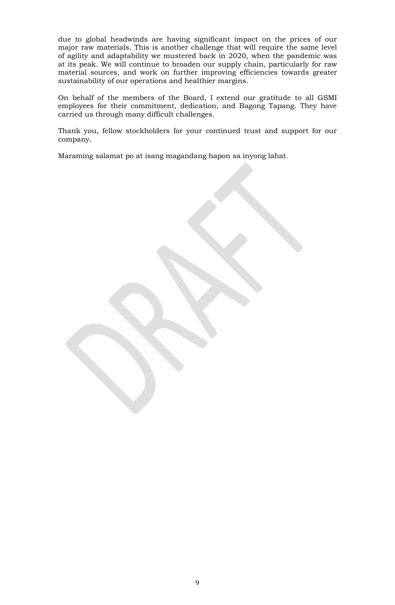due to global headwinds are having significant impact on the prices of our major raw materials. This is another challenge that will require the same level of agility and adaptability we mustered back in 2020, when the pandemic was at its peak. We will continue to broaden our supply chain, particularly for raw material sources, and work on further improving efficiencies towards greater sustainability of our operations and healthier margins.

On behalf of the members of the Board, I extend our gratitude to all GSMI employees for their commitment, dedication, and Bagong Tapang. They have carried us through many difficult challenges.

Thank you, fellow stockholders for your continued trust and support for our company.

Maraming salamat po at isang magandang hapon sa inyong lahat.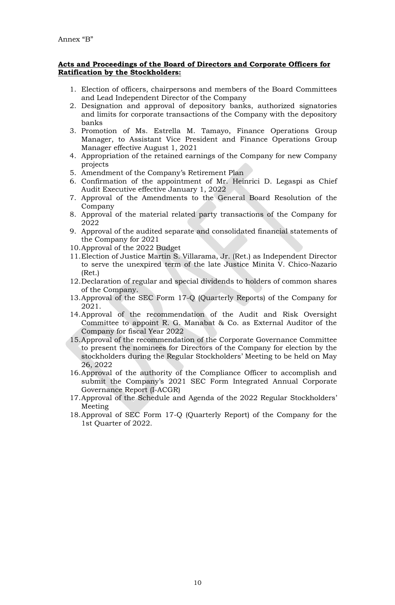### **Acts and Proceedings of the Board of Directors and Corporate Officers for Ratification by the Stockholders:**

- 1. Election of officers, chairpersons and members of the Board Committees and Lead Independent Director of the Company
- 2. Designation and approval of depository banks, authorized signatories and limits for corporate transactions of the Company with the depository banks
- 3. Promotion of Ms. Estrella M. Tamayo, Finance Operations Group Manager, to Assistant Vice President and Finance Operations Group Manager effective August 1, 2021
- 4. Appropriation of the retained earnings of the Company for new Company projects
- 5. Amendment of the Company's Retirement Plan
- 6. Confirmation of the appointment of Mr. Heinrici D. Legaspi as Chief Audit Executive effective January 1, 2022
- 7. Approval of the Amendments to the General Board Resolution of the Company
- 8. Approval of the material related party transactions of the Company for 2022
- 9. Approval of the audited separate and consolidated financial statements of the Company for 2021
- 10.Approval of the 2022 Budget
- 11.Election of Justice Martin S. Villarama, Jr. (Ret.) as Independent Director to serve the unexpired term of the late Justice Minita V. Chico-Nazario (Ret.)
- 12.Declaration of regular and special dividends to holders of common shares of the Company.
- 13.Approval of the SEC Form 17-Q (Quarterly Reports) of the Company for 2021.
- 14.Approval of the recommendation of the Audit and Risk Oversight Committee to appoint R. G. Manabat & Co. as External Auditor of the Company for fiscal Year 2022
- 15.Approval of the recommendation of the Corporate Governance Committee to present the nominees for Directors of the Company for election by the stockholders during the Regular Stockholders' Meeting to be held on May 26, 2022
- 16.Approval of the authority of the Compliance Officer to accomplish and submit the Company's 2021 SEC Form Integrated Annual Corporate Governance Report (I-ACGR)
- 17.Approval of the Schedule and Agenda of the 2022 Regular Stockholders' Meeting
- 18.Approval of SEC Form 17-Q (Quarterly Report) of the Company for the 1st Quarter of 2022.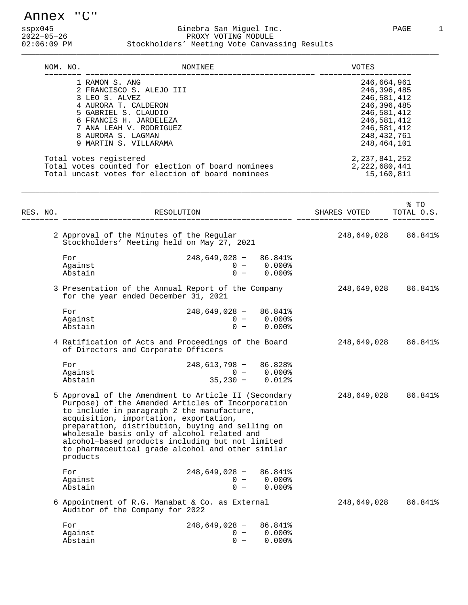Annex "C"

#### sspx045 Ginebra San Miguel Inc. PAGE 1 2022−05−26 PROXY VOTING MODULE<br>202106:09 PM Stockholders' Meeting Vote Canva Stockholders' Meeting Vote Canvassing Results

| NOM. NO. |                                                                                                                                                                                                                  | NOMINEE                                          |                                           | VOTES                                                                                                                                 |      |
|----------|------------------------------------------------------------------------------------------------------------------------------------------------------------------------------------------------------------------|--------------------------------------------------|-------------------------------------------|---------------------------------------------------------------------------------------------------------------------------------------|------|
|          | 1 RAMON S. ANG<br>2 FRANCISCO S. ALEJO III<br>3 LEO S. ALVEZ<br>4 AURORA T. CALDERON<br>5 GABRIEL S. CLAUDIO<br>6 FRANCIS H. JARDELEZA<br>7 ANA LEAH V. RODRIGUEZ<br>8 AURORA S. LAGMAN<br>9 MARTIN S. VILLARAMA |                                                  |                                           | 246,664,961<br>246,396,485<br>246,581,412<br>246,396,485<br>246,581,412<br>246,581,412<br>246,581,412<br>248, 432, 761<br>248,464,101 |      |
|          | Total votes registered<br>Total votes counted for election of board nominees<br>Total uncast votes for election of board nominees                                                                                |                                                  |                                           | 2, 237, 841, 252<br>2,222,680,441<br>15,160,811                                                                                       |      |
| RES. NO. | RESOLUTION                                                                                                                                                                                                       |                                                  |                                           | SHARES VOTED TOTAL O.S.                                                                                                               | % TO |
|          | 2 Approval of the Minutes of the Regular<br>Stockholders' Meeting held on May 27, 2021                                                                                                                           |                                                  |                                           | 248,649,028 86.841%                                                                                                                   |      |
|          | For<br>Against<br>Abstain                                                                                                                                                                                        | 248,649,028 - 86.841%                            | $0 - 0.000$ %<br>$0 - 0.000$ <sup>§</sup> |                                                                                                                                       |      |
|          | 3 Presentation of the Annual Report of the Company 248,649,028 86.841%<br>for the year ended December 31, 2021                                                                                                   |                                                  |                                           |                                                                                                                                       |      |
|          |                                                                                                                                                                                                                  | $\sim$ $\sim$ $\sim$ $\sim$ $\sim$ $\sim$ $\sim$ |                                           |                                                                                                                                       |      |

| For     | $248,649,028 - 86.841$ |              |
|---------|------------------------|--------------|
| Against |                        | $0 - 0.0008$ |
| Abstain | $\Omega$ $-$           | $0.000\%$    |

 4 Ratification of Acts and Proceedings of the Board 248,649,028 86.841% of Directors and Corporate Officers

| For     | $248.613.798 - 86.828$ |              |
|---------|------------------------|--------------|
| Aqainst |                        | $0 - 0.0008$ |
| Abstain | $35,230 -$             | $0.012\$     |

 5 Approval of the Amendment to Article II (Secondary 248,649,028 86.841% Purpose) of the Amended Articles of Incorporation to include in paragraph 2 the manufacture, acquisition, importation, exportation, preparation, distribution, buying and selling on wholesale basis only of alcohol related and alcohol−based products including but not limited to pharmaceutical grade alcohol and other similar products  $748,649,029,028,0418,$ 

| For     | $248.649.028 - 86.841\%$ |             |
|---------|--------------------------|-------------|
| Against |                          | $0 - 0.000$ |
| Abstain | $\cap$ $-$               | 0.000%      |

 6 Appointment of R.G. Manabat & Co. as External 248,649,028 86.841% Auditor of the Company for 2022

| For     | $248.649.028 - 86.841$ |                |
|---------|------------------------|----------------|
| Against |                        | $0 - 0.000$ \$ |
| Abstain |                        | $0 - 0.000$ \$ |